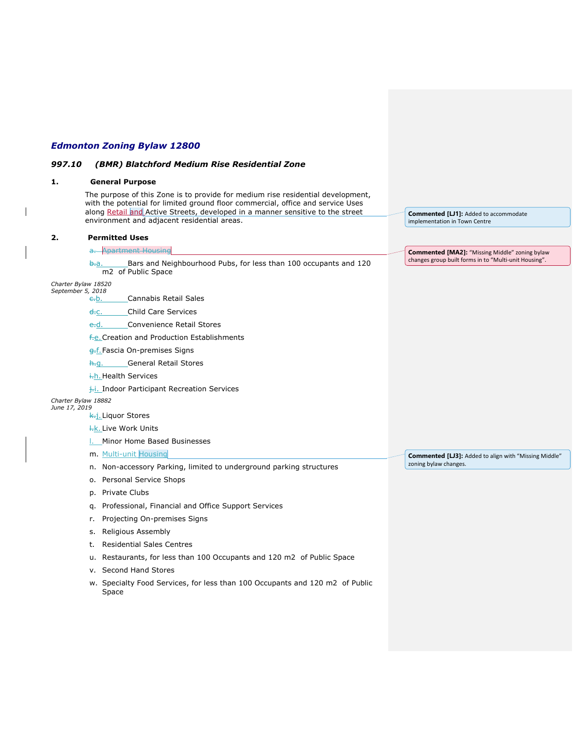## *Edmonton Zoning Bylaw 12800*

## *997.10 (BMR) Blatchford Medium Rise Residential Zone*

## **1. General Purpose** The purpose of this Zone is to provide for medium rise residential development, with the potential for limited ground floor commercial, office and service Uses along Retail and Active Streets, developed in a manner sensitive to the street environment and adjacent residential areas. **2. Permitted Uses** a. Apartment Housing b.a. [Bars and Neighbourhood Pubs,](https://webdocs.edmonton.ca/InfraPlan/zoningbylaw/ZoningBylaw/Part1/Interpretive/7_4(6)_Bars_and_Neighbourhood_Pubs.htm) for less than 100 occupants and 120 [m2](https://webdocs.edmonton.ca/InfraPlan/zoningbylaw/ZoningBylaw/Measurements/ia_120.htm) of Public Space *Charter Bylaw 18520 September 5, 2018* e.b. [Cannabis Retail Sales](javascript:void(0);) d.c. [Child Care Services](https://webdocs.edmonton.ca/InfraPlan/zoningbylaw/ZoningBylaw/Part1/Interpretive/7_8(2)_Child_Care_Services.htm) e.d. [Convenience Retail Stores](https://webdocs.edmonton.ca/InfraPlan/zoningbylaw/ZoningBylaw/Part1/Interpretive/7_4(13)_Convenience_Retail_Stores.htm) f.e. Creation and Production Establishments g.f[.Fascia On-premises Signs](https://webdocs.edmonton.ca/InfraPlan/zoningbylaw/ZoningBylaw/Part1/Interpretive/7_9(2)_Fascia_On-premises_Signs.htm) h.g. [General Retail Stores](https://webdocs.edmonton.ca/InfraPlan/zoningbylaw/ZoningBylaw/Part1/Interpretive/7_4(24)_General_Retail_Stores.htm) i.h. [Health Services](https://webdocs.edmonton.ca/InfraPlan/zoningbylaw/ZoningBylaw/Part1/Interpretive/7_4(26)_Health_Services.htm) j.i. [Indoor Participant Recreation Services](https://webdocs.edmonton.ca/InfraPlan/zoningbylaw/ZoningBylaw/Part1/Interpretive/7_8(4)_Indoor_Participant_Recreation_Services.htm) *Charter Bylaw 18882 June 17, 2019* k.j. [Liquor Stores](https://webdocs.edmonton.ca/InfraPlan/zoningbylaw/ZoningBylaw/Part1/Interpretive/7_4(30)_Major_Alcohol_Sales.htm) **H.k. [Live Work Units](https://webdocs.edmonton.ca/InfraPlan/zoningbylaw/ZoningBylaw/Part1/Interpretive/7_3(5)_Live_Work_Unit.htm) L.** [Minor Home Based Businesses](https://webdocs.edmonton.ca/InfraPlan/zoningbylaw/ZoningBylaw/Part1/Interpretive/7_3(8)_Minor_Home_Based_Business.htm) m. Multi-unit Housing n. [Non-accessory Parking,](https://webdocs.edmonton.ca/InfraPlan/zoningbylaw/ZoningBylaw/Part1/Interpretive/7_4(41)_Non-accessory_Parking.htm) limited to underground parking structures o. [Personal Service Shops](https://webdocs.edmonton.ca/InfraPlan/zoningbylaw/ZoningBylaw/Part1/Interpretive/7_4(43)_Personal_Service_Shops.htm) p. [Private Clubs](https://webdocs.edmonton.ca/InfraPlan/zoningbylaw/ZoningBylaw/Part1/Interpretive/7_8(8)_Private_Clubs.htm) q. [Professional, Financial and Office Support Services](https://webdocs.edmonton.ca/InfraPlan/zoningbylaw/ZoningBylaw/Part1/Interpretive/7_4(44)_Professional__Financial_and_Office_Support_Services.htm) r. [Projecting On-premises Signs](https://webdocs.edmonton.ca/InfraPlan/zoningbylaw/ZoningBylaw/Part1/Interpretive/7_9(10)_Projecting_On-premises_Signs.htm) s. [Religious Assembly](https://webdocs.edmonton.ca/InfraPlan/zoningbylaw/ZoningBylaw/Part1/Interpretive/7_8(14)_Religious_Assembly.htm) t. [Residential Sales Centres](https://webdocs.edmonton.ca/InfraPlan/zoningbylaw/ZoningBylaw/Part1/Interpretive/7_3(9)_Residential_Sales_Centre.htm) u. [Restaurants,](https://webdocs.edmonton.ca/InfraPlan/zoningbylaw/ZoningBylaw/Part1/Interpretive/7_4(47)_Restaurants.htm) for less than 100 Occupants and [120 m2](https://webdocs.edmonton.ca/InfraPlan/zoningbylaw/ZoningBylaw/Measurements/ia_120.htm) of Public Space v. [Second Hand Stores](https://webdocs.edmonton.ca/InfraPlan/zoningbylaw/ZoningBylaw/Part1/Interpretive/7_4(48)_Secondhand_Stores.htm) w. [Specialty Food Services,](https://webdocs.edmonton.ca/InfraPlan/zoningbylaw/ZoningBylaw/Part1/Interpretive/7_4(49)_Specialty_Food_Services.htm) for less than 100 Occupants and [120 m2](https://webdocs.edmonton.ca/InfraPlan/zoningbylaw/ZoningBylaw/Measurements/ia_120.htm) of Public Space **Commented [LJ1]:** Added to accommodate implementation in Town Centre **Commented [MA2]:** "Missing Middle" zoning bylaw changes group built forms in to "Multi-unit Housing". **Commented [LJ3]:** Added to align with "Missing Middle" zoning bylaw changes.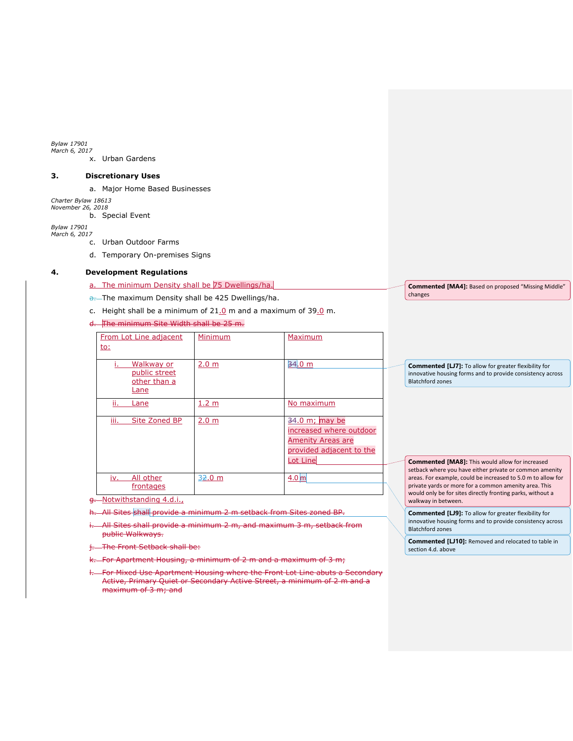*Bylaw 17901 March 6, 2017*

x. [Urban Gardens](javascript:void(0);)

## **3. Discretionary Uses**

a. [Major Home Based Businesses](https://webdocs.edmonton.ca/InfraPlan/zoningbylaw/ZoningBylaw/Part1/Interpretive/7_3(7)_Major_Home_Based_Business.htm)

*Charter Bylaw 18613 November 26, 2018*

b. [Special Event](javascript:void(0);)

*Bylaw 17901 March 6, 2017*

- c. [Urban Outdoor Farms](javascript:void(0);)
	- d. [Temporary On-premises Signs](https://webdocs.edmonton.ca/InfraPlan/zoningbylaw/ZoningBylaw/Part1/Interpretive/7_9(13)_Temporary_On-premises_Signs.htm)

#### **4. Development Regulations**

#### a. The minimum Density shall be 75 Dwellings/ha.

a. The maximum Density shall be 425 Dwellings/ha.

c. Height shall be a minimum of  $21.0$  m and a maximum of  $39.0$  m.

## d. The minimum Site Width shall be 25 m.

| From Lot Line adjacent<br>to:                       | Minimum          | Maximum                                                                                                         |
|-----------------------------------------------------|------------------|-----------------------------------------------------------------------------------------------------------------|
|                                                     |                  |                                                                                                                 |
| Walkway or<br>public street<br>other than a<br>Lane | 2.0 m            | 34.0 m                                                                                                          |
| ii.<br>Lane                                         | 1.2 m            | No maximum                                                                                                      |
| iii.<br>Site Zoned BP                               | 2.0 <sub>m</sub> | $34.0$ m; may be<br>increased where outdoor<br><b>Amenity Areas are</b><br>provided adjacent to the<br>Lot Line |
| All other<br>iv.<br>frontages                       | 32.0 m           | 4.0 <sub>m</sub>                                                                                                |

g. Notwithstanding 4.d.i.,

h. All Sites shall provide a minimum 2 m setback from Sites zoned BP.

- All Sites shall provide a minimum 2 m, and maximum 3 m, setback from public Walkways.
- The Front Setback shall be:
- For Apartment Housing, a minimum of 2 m and a maximum of 3 m;
- For Mixed Use Apartment Housing where the Front Lot Line abuts a Secondary Active, Primary Quiet or Secondary Active Street, a minimum of 2 m and a maximum of 3 m; and

**Commented [MA4]:** Based on proposed "Missing Middle" changes

**Commented [LJ7]:** To allow for greater flexibility for innovative housing forms and to provide consistency across Blatchford zones

**Commented [MA8]:** This would allow for increased setback where you have either private or common amenity areas. For example, could be increased to 5.0 m to allow for private yards or more for a common amenity area. This would only be for sites directly fronting parks, without a walkway in between.

**Commented [LJ9]:** To allow for greater flexibility for innovative housing forms and to provide consistency across Blatchford zones

**Commented [LJ10]:** Removed and relocated to table in section 4.d. above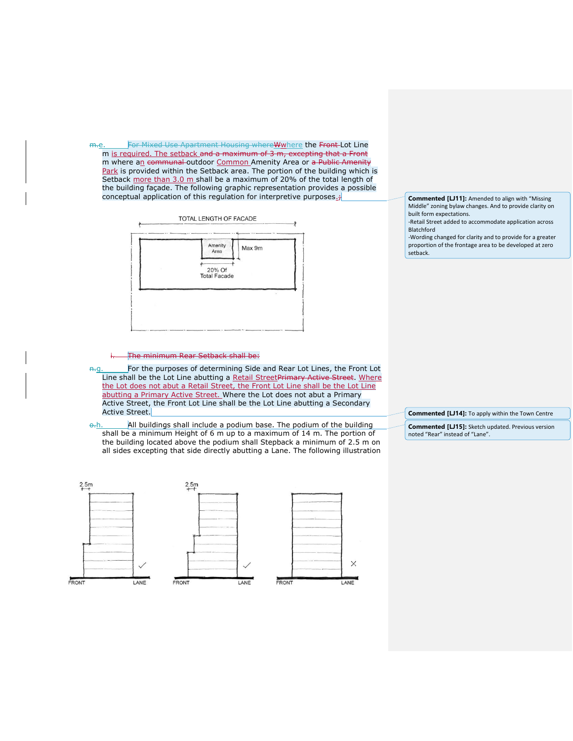m.e. For Mixed Use Apartment Housing where Wwhere the Front Lot Line m is required. The setback and a maximum of 3 m, excepting that a Front [m](https://webdocs.edmonton.ca/InfraPlan/zoningbylaw/ZoningBylaw/Measurements/im9.htm) where an communal outdoor Common Amenity Area or a Public Amenity Park is provided within the Setback area. The portion of the building which is Setback more than 3.0 m shall be a maximum of 20% of the total length of the building façade. The following graphic representation provides a possible conceptual application of this regulation for interpretive purposes.;



**Commented [LJ11]:** Amended to align with "Missing Middle" zoning bylaw changes. And to provide clarity on built form expectations.

-Retail Street added to accommodate application across Blatchford

-Wording changed for clarity and to provide for a greater proportion of the frontage area to be developed at zero setback.

#### The minimum Rear Setback shall be:

- n.g. For the purposes of determining Side and Rear Lot Lines, the Front Lot Line shall be the Lot Line abutting a Retail StreetPrimary Active Street. Where the Lot does not abut a Retail Street, the Front Lot Line shall be the Lot Line abutting a Primary Active Street. Where the Lot does not abut a Primary Active Street, the Front Lot Line shall be the Lot Line abutting a Secondary Active Street.
- $\theta$ .h. All buildings shall include a podium base. The podium of the building shall be a minimum Height of [6 m](https://webdocs.edmonton.ca/InfraPlan/zoningbylaw/ZoningBylaw/Measurements/im6.htm) up to a maximum of [14 m.](https://webdocs.edmonton.ca/InfraPlan/zoningbylaw/ZoningBylaw/Measurements/im14.htm) The portion of the building located above the podium shall Stepback a minimum of [2.5 m](https://webdocs.edmonton.ca/InfraPlan/zoningbylaw/ZoningBylaw/Measurements/im2_5.htm) on all sides excepting that side directly abutting a Lane. The following illustration



**Commented [LJ14]:** To apply within the Town Centre

**Commented [LJ15]:** Sketch updated. Previous version noted "Rear" instead of "Lane".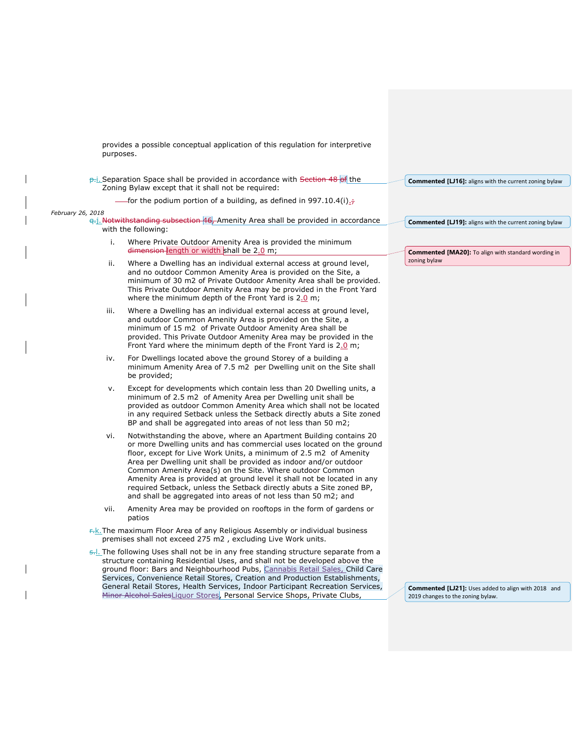provides a possible conceptual application of this regulation for interpretive purposes.

p.i. Separation Space shall be provided in accordance with Section 48 of the Zoning Bylaw except that it shall not be required:

-for the podium portion of a building, as defined in 997.10.4(i) $\frac{1}{2}$ 

## *February 26, 2018*

q-i. Notwithstanding subsection 46, Amenity Area shall be provided in accordance with the following:

- i. Where Private Outdoor Amenity Area is provided the minimum dimension length or width shall be [2.0](javascript:void(0);) m;
- ii. Where a Dwelling has an individual external access at ground level, and no outdoor Common Amenity Area is provided on the Site, a minimum of [30 m2](javascript:void(0);) of Private Outdoor Amenity Area shall be provided. This Private Outdoor Amenity Area may be provided in the Front Yard where the minimum depth of the Front Yard is  $2.0$  m;
- iii. Where a Dwelling has an individual external access at ground level, and outdoor Common Amenity Area is provided on the Site, a minimum of [15 m2](javascript:void(0);) of Private Outdoor Amenity Area shall be provided. This Private Outdoor Amenity Area may be provided in the Front Yard where the minimum depth of the Front Yard is [2.0](javascript:void(0);) m;
- iv. For Dwellings located above the ground Storey of a building a minimum Amenity Area of [7.5 m2](javascript:void(0);) per Dwelling unit on the Site shall be provided;
- v. Except for developments which contain less than 20 Dwelling units, a minimum of [2.5 m2](javascript:void(0);) of Amenity Area per Dwelling unit shall be provided as outdoor Common Amenity Area which shall not be located in any required Setback unless the Setback directly abuts a Site zoned BP and shall be aggregated into areas of not less than [50 m2;](javascript:void(0);)
- vi. Notwithstanding the above, where an Apartment Building contains 20 or more Dwelling units and has commercial uses located on the ground floor, except for Live Work Units, a minimum of [2.5 m2](javascript:void(0);) of Amenity Area per Dwelling unit shall be provided as indoor and/or outdoor Common Amenity Area(s) on the Site. Where outdoor Common Amenity Area is provided at ground level it shall not be located in any required Setback, unless the Setback directly abuts a Site zoned BP, and shall be aggregated into areas of not less than [50 m2;](javascript:void(0);) and
- vii. Amenity Area may be provided on rooftops in the form of gardens or patios
- **F.K.** The maximum Floor Area of any Religious Assembly or individual business premises shall not exceed [275 m2](https://webdocs.edmonton.ca/InfraPlan/zoningbylaw/ZoningBylaw/Measurements/ia275.htm) , excluding Live Work units.
- s.l. The following Uses shall not be in any free standing structure separate from a structure containing Residential Uses, and shall not be developed above the ground floor: Bars and Neighbourhood Pubs, Cannabis Retail Sales, Child Care Services, Convenience Retail Stores, Creation and Production Establishments, General Retail Stores, Health Services, Indoor Participant Recreation Services, Minor Alcohol SalesLiquor Stores, Personal Service Shops, Private Clubs,

**Commented [LJ16]:** aligns with the current zoning bylaw

**Commented [LJ19]:** aligns with the current zoning bylaw

**Commented [MA20]:** To align with standard wording in zoning bylaw

**Commented [LJ21]:** Uses added to align with 2018 and 2019 changes to the zoning bylaw.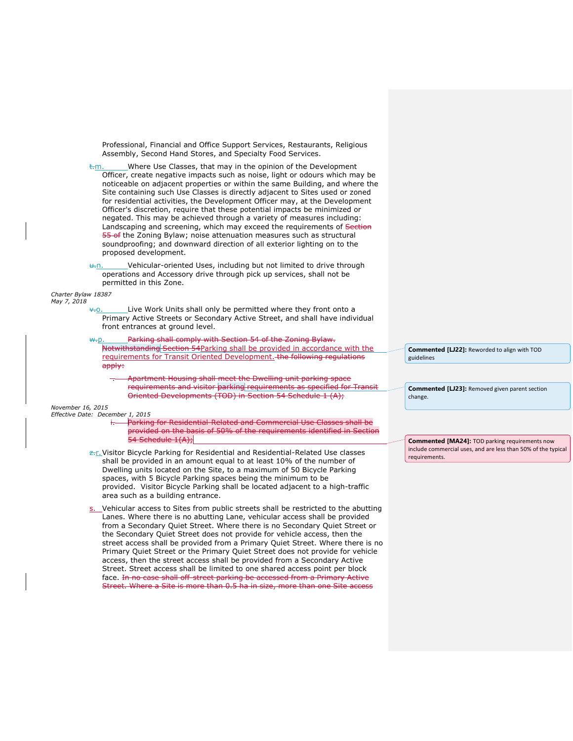Professional, Financial and Office Support Services, Restaurants, Religious Assembly, Second Hand Stores, and Specialty Food Services.

t.m. Where Use Classes, that may in the opinion of the Development Officer, create negative impacts such as noise, light or odours which may be noticeable on adjacent properties or within the same Building, and where the Site containing such Use Classes is directly adjacent to Sites used or zoned for residential activities, the Development Officer may, at the Development Officer's discretion, require that these potential impacts be minimized or negated. This may be achieved through a variety of measures including: Landscaping and screening, which may exceed the requirements of Secti 55 of the Zoning Bylaw; noise attenuation measures such as structural soundproofing; and downward direction of all exterior lighting on to the proposed development.

u<sub>rn.</sub> Vehicular-oriented Uses, including but not limited to drive through operations and Accessory drive through pick up services, shall not be permitted in this Zone.

*Charter Bylaw 18387 May 7, 2018*

- Live Work Units shall only be permitted where they front onto a Primary Active Streets or Secondary Active Street, and shall have individual front entrances at ground level.
- w.p. Parking shall comply with Section 54 of the Zoning Bylaw. Notwithstanding Section 54Parking shall be provided in accordance with the requirements for Transit Oriented Development. the following regulations apply:
	- Apartment Housing shall meet the Dwelling unit parking space requirements and visitor parking requirements as specified for Transit Oriented Developments (TOD) in Section 54 Schedule 1 (A);

#### *November 16, 2015 Effective Date: December 1, 2015*

- Parking for Residential-Related and Commercial Use Classes shall be provided on the basis of 50% of the requirements identified in Section  $54$  Schedule  $1(A)$ ;
- z.r.Visitor Bicycle Parking for Residential and Residential-Related Use classes shall be provided in an amount equal to at least 10% of the number of Dwelling units located on the Site, to a maximum of 50 Bicycle Parking spaces, with 5 Bicycle Parking spaces being the minimum to be provided. Visitor Bicycle Parking shall be located adjacent to a high-traffic area such as a building entrance.
- Vehicular access to Sites from public streets shall be restricted to the abutting Lanes. Where there is no abutting Lane, vehicular access shall be provided from a Secondary Quiet Street. Where there is no Secondary Quiet Street or the Secondary Quiet Street does not provide for vehicle access, then the street access shall be provided from a Primary Quiet Street. Where there is no Primary Quiet Street or the Primary Quiet Street does not provide for vehicle access, then the street access shall be provided from a Secondary Active Street. Street access shall be limited to one shared access point per block face. In no case shall off-street parking be accessed from a Primary Active Street. Where a Site is more than 0.5 ha in size, more than one Site access

**Commented [LJ22]:** Reworded to align with TOD guidelines

**Commented [LJ23]:** Removed given parent section change.

**Commented [MA24]:** TOD parking requirements now include commercial uses, and are less than 50% of the typical requirements.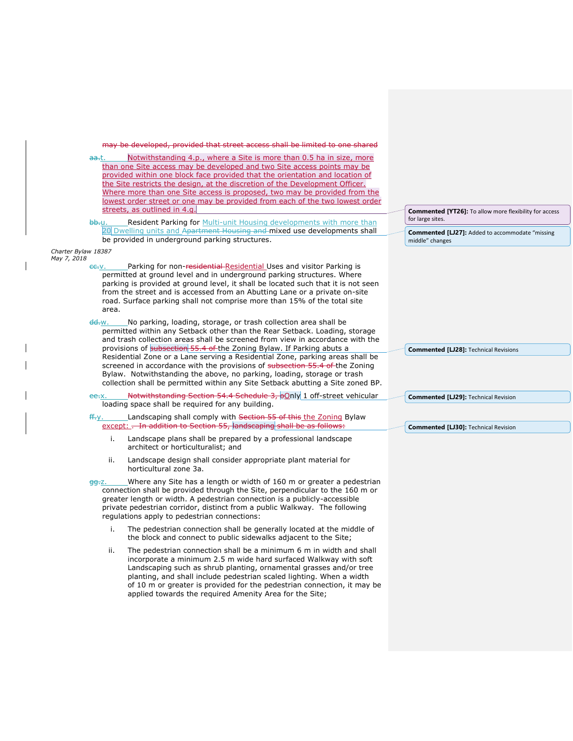|                                    | may be developed, provided that street access shall be limited to one shared                                                                                                                                                                                                                                                                                                                                                                                                                                 |                                                                           |
|------------------------------------|--------------------------------------------------------------------------------------------------------------------------------------------------------------------------------------------------------------------------------------------------------------------------------------------------------------------------------------------------------------------------------------------------------------------------------------------------------------------------------------------------------------|---------------------------------------------------------------------------|
| <del>aa.</del> t                   | Notwithstanding 4.p., where a Site is more than 0.5 ha in size, more<br>than one Site access may be developed and two Site access points may be<br>provided within one block face provided that the orientation and location of<br>the Site restricts the design, at the discretion of the Development Officer.<br>Where more than one Site access is proposed, two may be provided from the<br>lowest order street or one may be provided from each of the two lowest order<br>streets, as outlined in 4.g. | <b>Commented [YT26]:</b> To allow more flexibility for access             |
| bb-u.                              | Resident Parking for Multi-unit Housing developments with more than                                                                                                                                                                                                                                                                                                                                                                                                                                          | for large sites.                                                          |
|                                    | 20 Dwelling units and Apartment Housing and mixed use developments shall<br>be provided in underground parking structures.                                                                                                                                                                                                                                                                                                                                                                                   | <b>Commented [LJ27]:</b> Added to accommodate "missing<br>middle" changes |
| Charter Bylaw 18387<br>May 7, 2018 |                                                                                                                                                                                                                                                                                                                                                                                                                                                                                                              |                                                                           |
| $ec_vv$ .<br>area.                 | Parking for non-residential Residential Uses and visitor Parking is<br>permitted at ground level and in underground parking structures. Where<br>parking is provided at ground level, it shall be located such that it is not seen<br>from the street and is accessed from an Abutting Lane or a private on-site<br>road. Surface parking shall not comprise more than 15% of the total site                                                                                                                 |                                                                           |
| <del>dd.</del> w.                  | No parking, loading, storage, or trash collection area shall be<br>permitted within any Setback other than the Rear Setback. Loading, storage<br>and trash collection areas shall be screened from view in accordance with the<br>provisions of subsection 55.4 of the Zoning Bylaw. If Parking abuts a                                                                                                                                                                                                      | <b>Commented [LJ28]: Technical Revisions</b>                              |
|                                    | Residential Zone or a Lane serving a Residential Zone, parking areas shall be<br>screened in accordance with the provisions of subsection 55.4 of the Zoning<br>Bylaw. Notwithstanding the above, no parking, loading, storage or trash<br>collection shall be permitted within any Site Setback abutting a Site zoned BP.                                                                                                                                                                                   |                                                                           |
| ee.x.                              | Notwithstanding Section 54.4 Schedule 3, oOnly 1 off-street vehicular<br>loading space shall be required for any building.                                                                                                                                                                                                                                                                                                                                                                                   | <b>Commented [LJ29]: Technical Revision</b>                               |
| ff⊹y.                              | Landscaping shall comply with Section 55 of this the Zoning Bylaw                                                                                                                                                                                                                                                                                                                                                                                                                                            |                                                                           |
| i.                                 | except: <del>. In addition to Section 55, landscaping shall be as follows:</del><br>Landscape plans shall be prepared by a professional landscape<br>architect or horticulturalist; and                                                                                                                                                                                                                                                                                                                      | <b>Commented [LJ30]: Technical Revision</b>                               |
| ii.                                | Landscape design shall consider appropriate plant material for<br>horticultural zone 3a.                                                                                                                                                                                                                                                                                                                                                                                                                     |                                                                           |
| <del>gg.</del> z.                  | Where any Site has a length or width of 160 m or greater a pedestrian<br>connection shall be provided through the Site, perpendicular to the 160 m or<br>greater length or width. A pedestrian connection is a publicly-accessible<br>private pedestrian corridor, distinct from a public Walkway. The following<br>regulations apply to pedestrian connections:                                                                                                                                             |                                                                           |
| i.                                 | The pedestrian connection shall be generally located at the middle of<br>the block and connect to public sidewalks adjacent to the Site;                                                                                                                                                                                                                                                                                                                                                                     |                                                                           |
| ii.                                | The pedestrian connection shall be a minimum 6 m in width and shall<br>incorporate a minimum 2.5 m wide hard surfaced Walkway with soft<br>Landscaping such as shrub planting, ornamental grasses and/or tree<br>planting, and shall include pedestrian scaled lighting. When a width<br>of 10 m or greater is provided for the pedestrian connection, it may be                                                                                                                                             |                                                                           |

applied towards the required Amenity Area for the Site;

 $\overline{\phantom{a}}$ 

 $\overline{\phantom{a}}$  $\begin{array}{c} \hline \end{array}$ 

 $\begin{array}{c} \hline \end{array}$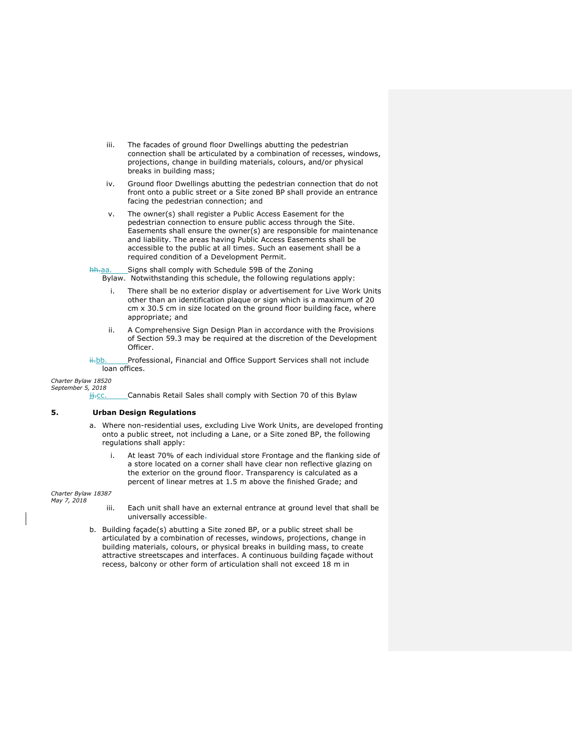- iii. The facades of ground floor Dwellings abutting the pedestrian connection shall be articulated by a combination of recesses, windows, projections, change in building materials, colours, and/or physical breaks in building mass;
- iv. Ground floor Dwellings abutting the pedestrian connection that do not front onto a public street or a Site zoned BP shall provide an entrance facing the pedestrian connection; and
- v. The owner(s) shall register a Public Access Easement for the pedestrian connection to ensure public access through the Site. Easements shall ensure the owner(s) are responsible for maintenance and liability. The areas having Public Access Easements shall be accessible to the public at all times. Such an easement shall be a required condition of a Development Permit.

hh.aa. Signs shall comply with [Schedule 59B](https://webdocs.edmonton.ca/InfraPlan/zoningbylaw/ZoningBylaw/Part1/Development/59__Sign_Regulations.htm) of the Zoning

Bylaw. Notwithstanding this schedule, the following regulations apply:

- i. There shall be no exterior display or advertisement for Live Work Units other than an identification plaque or sign which is a maximum of 20 cm x 30.5 cm in size located on the ground floor building face, where appropriate; and
- ii. A Comprehensive Sign Design Plan in accordance with the Provisions of [Section 59.3](https://webdocs.edmonton.ca/InfraPlan/zoningbylaw/ZoningBylaw/Part1/Development/59__Sign_Regulations.htm) may be required at the discretion of the Development Officer.
- ii.bb. Professional, Financial and Office Support Services shall not include loan offices.

*Charter Bylaw 18520 September 5, 2018*

 $\frac{1}{11}$ cc. [Cannabis Retail Sales](javascript:void(0);) shall comply with [Section 70](https://webdocs.edmonton.ca/InfraPlan/zoningbylaw/ZoningBylaw/Part1/Special_Land/70._Cannabis_Retail_Sales.htm) of this Bylaw

### **5. Urban Design Regulations**

- a. Where non-residential uses, excluding Live Work Units, are developed fronting onto a public street, not including a Lane, or a Site zoned BP, the following regulations shall apply:
	- i. At least 70% of each individual store Frontage and the flanking side of a store located on a corner shall have clear non reflective glazing on the exterior on the ground floor. Transparency is calculated as a percent of linear metres at 1.5 m above the finished Grade; and

*Charter Bylaw 18387 May 7, 2018*

- iii. Each unit shall have an external entrance at ground level that shall be universally accessible.
- b. Building façade(s) abutting a Site zoned BP, or a public street shall be articulated by a combination of recesses, windows, projections, change in building materials, colours, or physical breaks in building mass, to create attractive streetscapes and interfaces. A continuous building façade without recess, balcony or other form of articulation shall not exceed 18 m in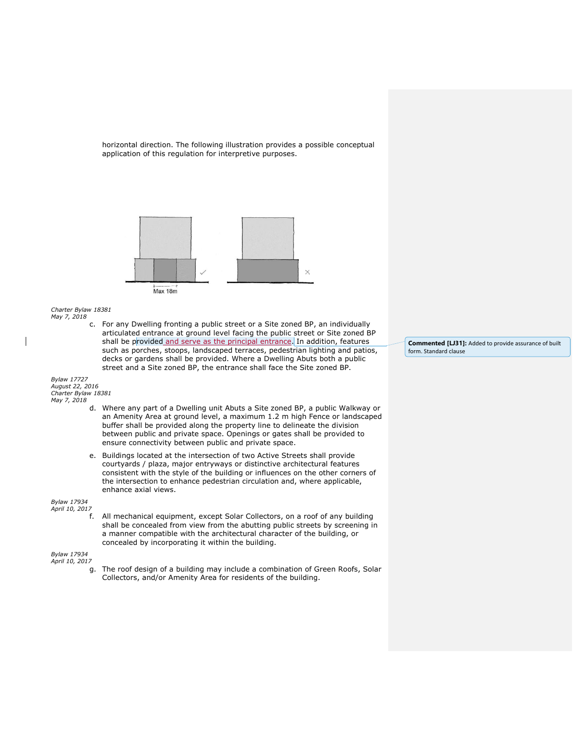horizontal direction. The following illustration provides a possible conceptual application of this regulation for interpretive purposes.



# *Charter Bylaw 18381*

- *May 7, 2018*
	- c. For any Dwelling fronting a public street or a Site zoned BP, an individually articulated entrance at ground level facing the public street or Site zoned BP shall be provided and serve as the principal entrance. In addition, features such as porches, stoops, landscaped terraces, pedestrian lighting and patios, decks or gardens shall be provided. Where a Dwelling Abuts both a public street and a Site zoned BP, the entrance shall face the Site zoned BP.

### *Bylaw 17727 August 22, 2016 Charter Bylaw 18381 May 7, 2018*

- d. Where any part of a Dwelling unit Abuts a Site zoned BP, a public Walkway or an Amenity Area at ground level, a maximum 1.2 m high Fence or landscaped buffer shall be provided along the property line to delineate the division between public and private space. Openings or gates shall be provided to ensure connectivity between public and private space.
- e. Buildings located at the intersection of two Active Streets shall provide courtyards / plaza, major entryways or distinctive architectural features consistent with the style of the building or influences on the other corners of the intersection to enhance pedestrian circulation and, where applicable, enhance axial views.

*Bylaw 17934 April 10, 2017*

f. All mechanical equipment, except Solar Collectors, on a roof of any building shall be concealed from view from the abutting public streets by screening in a manner compatible with the architectural character of the building, or concealed by incorporating it within the building.

*Bylaw 17934 April 10, 2017*

> g. The roof design of a building may include a combination of Green Roofs, Solar Collectors, and/or Amenity Area for residents of the building.

**Commented [LJ31]:** Added to provide assurance of built form. Standard clause